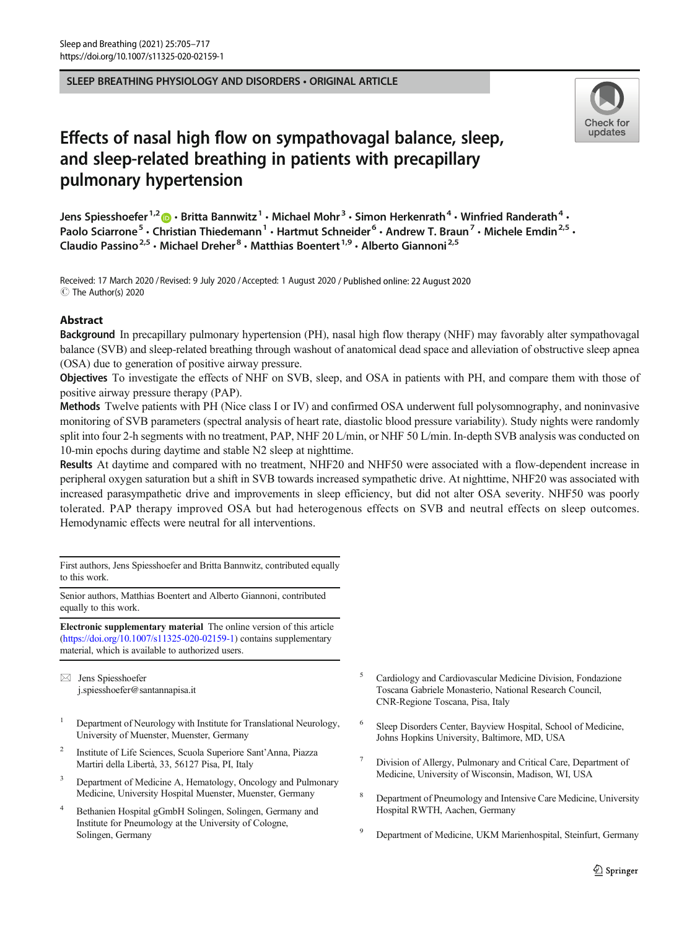SLEEP BREATHING PHYSIOLOGY AND DISORDERS • ORIGINAL ARTICLE



# Effects of nasal high flow on sympathovagal balance, sleep, and sleep-related breathing in patients with precapillary pulmonary hypertension

Jens Spiesshoefer<sup>1,2</sup>  $\cdot$  Britta Bannwitz<sup>1</sup>  $\cdot$  Michael Mohr<sup>3</sup>  $\cdot$  Simon Herkenrath<sup>4</sup>  $\cdot$  Winfried Randerath<sup>4</sup>  $\cdot$ Paolo Sciarrone<sup>5</sup> • Christian Thiedemann<sup>1</sup> • Hartmut Schneider<sup>6</sup> • Andrew T. Braun<sup>7</sup> • Michele Emdin<sup>2,5</sup> • Claudio Passino<sup>2,5</sup> • Michael Dreher<sup>8</sup> • Matthias Boentert<sup>1,9</sup> • Alberto Giannoni<sup>2,5</sup>

Received: 17 March 2020 / Revised: 9 July 2020 /Accepted: 1 August 2020 / Published online: 22 August 2020  $\circledcirc$  The Author(s) 2020

## Abstract

Background In precapillary pulmonary hypertension (PH), nasal high flow therapy (NHF) may favorably alter sympathovagal balance (SVB) and sleep-related breathing through washout of anatomical dead space and alleviation of obstructive sleep apnea (OSA) due to generation of positive airway pressure.

Objectives To investigate the effects of NHF on SVB, sleep, and OSA in patients with PH, and compare them with those of positive airway pressure therapy (PAP).

Methods Twelve patients with PH (Nice class I or IV) and confirmed OSA underwent full polysomnography, and noninvasive monitoring of SVB parameters (spectral analysis of heart rate, diastolic blood pressure variability). Study nights were randomly split into four 2-h segments with no treatment, PAP, NHF 20 L/min, or NHF 50 L/min. In-depth SVB analysis was conducted on 10-min epochs during daytime and stable N2 sleep at nighttime.

Results At daytime and compared with no treatment, NHF20 and NHF50 were associated with a flow-dependent increase in peripheral oxygen saturation but a shift in SVB towards increased sympathetic drive. At nighttime, NHF20 was associated with increased parasympathetic drive and improvements in sleep efficiency, but did not alter OSA severity. NHF50 was poorly tolerated. PAP therapy improved OSA but had heterogenous effects on SVB and neutral effects on sleep outcomes. Hemodynamic effects were neutral for all interventions.

First authors, Jens Spiesshoefer and Britta Bannwitz, contributed equally to this work.

Senior authors, Matthias Boentert and Alberto Giannoni, contributed equally to this work.

Electronic supplementary material The online version of this article ([https://doi.org/10.1007/s11325-020-02159-1\)](https://doi.org/10.1007/s11325-020-02159-1) contains supplementary material, which is available to authorized users.

 $\boxtimes$  Jens Spiesshoefer [j.spiesshoefer@santannapisa.it](mailto:j.spiesshoefer@santannapisa.it)

- <sup>1</sup> Department of Neurology with Institute for Translational Neurology, University of Muenster, Muenster, Germany
- <sup>2</sup> Institute of Life Sciences, Scuola Superiore Sant'Anna, Piazza Martiri della Libertà, 33, 56127 Pisa, PI, Italy
- Department of Medicine A, Hematology, Oncology and Pulmonary Medicine, University Hospital Muenster, Muenster, Germany
- <sup>4</sup> Bethanien Hospital gGmbH Solingen, Solingen, Germany and Institute for Pneumology at the University of Cologne, Solingen, Germany
- <sup>5</sup> Cardiology and Cardiovascular Medicine Division, Fondazione Toscana Gabriele Monasterio, National Research Council, CNR-Regione Toscana, Pisa, Italy
- Sleep Disorders Center, Bayview Hospital, School of Medicine, Johns Hopkins University, Baltimore, MD, USA
- <sup>7</sup> Division of Allergy, Pulmonary and Critical Care, Department of Medicine, University of Wisconsin, Madison, WI, USA
- <sup>8</sup> Department of Pneumology and Intensive Care Medicine, University Hospital RWTH, Aachen, Germany
- <sup>9</sup> Department of Medicine, UKM Marienhospital, Steinfurt, Germany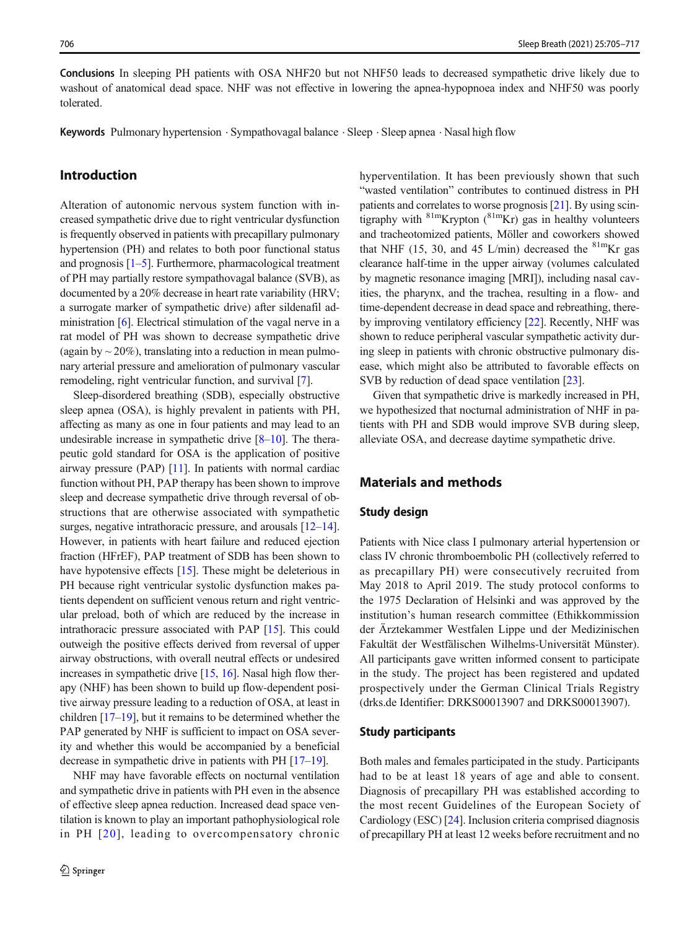Conclusions In sleeping PH patients with OSA NHF20 but not NHF50 leads to decreased sympathetic drive likely due to washout of anatomical dead space. NHF was not effective in lowering the apnea-hypopnoea index and NHF50 was poorly tolerated.

Keywords Pulmonary hypertension . Sympathovagal balance . Sleep . Sleep apnea . Nasal high flow

# Introduction

Alteration of autonomic nervous system function with increased sympathetic drive due to right ventricular dysfunction is frequently observed in patients with precapillary pulmonary hypertension (PH) and relates to both poor functional status and prognosis  $[1-5]$  $[1-5]$  $[1-5]$  $[1-5]$  $[1-5]$ . Furthermore, pharmacological treatment of PH may partially restore sympathovagal balance (SVB), as documented by a 20% decrease in heart rate variability (HRV; a surrogate marker of sympathetic drive) after sildenafil administration [\[6](#page-10-0)]. Electrical stimulation of the vagal nerve in a rat model of PH was shown to decrease sympathetic drive (again by  $\sim$  20%), translating into a reduction in mean pulmonary arterial pressure and amelioration of pulmonary vascular remodeling, right ventricular function, and survival [\[7\]](#page-10-0).

Sleep-disordered breathing (SDB), especially obstructive sleep apnea (OSA), is highly prevalent in patients with PH, affecting as many as one in four patients and may lead to an undesirable increase in sympathetic drive  $[8-10]$  $[8-10]$  $[8-10]$ . The therapeutic gold standard for OSA is the application of positive airway pressure (PAP) [[11](#page-10-0)]. In patients with normal cardiac function without PH, PAP therapy has been shown to improve sleep and decrease sympathetic drive through reversal of obstructions that are otherwise associated with sympathetic surges, negative intrathoracic pressure, and arousals [\[12](#page-10-0)–[14\]](#page-10-0). However, in patients with heart failure and reduced ejection fraction (HFrEF), PAP treatment of SDB has been shown to have hypotensive effects [[15\]](#page-10-0). These might be deleterious in PH because right ventricular systolic dysfunction makes patients dependent on sufficient venous return and right ventricular preload, both of which are reduced by the increase in intrathoracic pressure associated with PAP [[15](#page-10-0)]. This could outweigh the positive effects derived from reversal of upper airway obstructions, with overall neutral effects or undesired increases in sympathetic drive  $[15, 16]$  $[15, 16]$  $[15, 16]$  $[15, 16]$  $[15, 16]$ . Nasal high flow therapy (NHF) has been shown to build up flow-dependent positive airway pressure leading to a reduction of OSA, at least in children [\[17](#page-10-0)–[19\]](#page-11-0), but it remains to be determined whether the PAP generated by NHF is sufficient to impact on OSA severity and whether this would be accompanied by a beneficial decrease in sympathetic drive in patients with PH [[17](#page-10-0)–[19](#page-11-0)].

NHF may have favorable effects on nocturnal ventilation and sympathetic drive in patients with PH even in the absence of effective sleep apnea reduction. Increased dead space ventilation is known to play an important pathophysiological role in PH [[20](#page-11-0)], leading to overcompensatory chronic hyperventilation. It has been previously shown that such "wasted ventilation" contributes to continued distress in PH patients and correlates to worse prognosis [\[21](#page-11-0)]. By using scintigraphy with  $81m$ Krypton  $(^{81m}$ Kr) gas in healthy volunteers and tracheotomized patients, Möller and coworkers showed that NHF (15, 30, and 45 L/min) decreased the  $81 \text{mKr}$  gas clearance half-time in the upper airway (volumes calculated by magnetic resonance imaging [MRI]), including nasal cavities, the pharynx, and the trachea, resulting in a flow- and time-dependent decrease in dead space and rebreathing, thereby improving ventilatory efficiency [[22](#page-11-0)]. Recently, NHF was shown to reduce peripheral vascular sympathetic activity during sleep in patients with chronic obstructive pulmonary disease, which might also be attributed to favorable effects on SVB by reduction of dead space ventilation [\[23](#page-11-0)].

Given that sympathetic drive is markedly increased in PH, we hypothesized that nocturnal administration of NHF in patients with PH and SDB would improve SVB during sleep, alleviate OSA, and decrease daytime sympathetic drive.

# Materials and methods

#### Study design

Patients with Nice class I pulmonary arterial hypertension or class IV chronic thromboembolic PH (collectively referred to as precapillary PH) were consecutively recruited from May 2018 to April 2019. The study protocol conforms to the 1975 Declaration of Helsinki and was approved by the institution's human research committee (Ethikkommission der Ärztekammer Westfalen Lippe und der Medizinischen Fakultät der Westfälischen Wilhelms-Universität Münster). All participants gave written informed consent to participate in the study. The project has been registered and updated prospectively under the German Clinical Trials Registry (drks.de Identifier: DRKS00013907 and DRKS00013907).

#### Study participants

Both males and females participated in the study. Participants had to be at least 18 years of age and able to consent. Diagnosis of precapillary PH was established according to the most recent Guidelines of the European Society of Cardiology (ESC) [\[24\]](#page-11-0). Inclusion criteria comprised diagnosis of precapillary PH at least 12 weeks before recruitment and no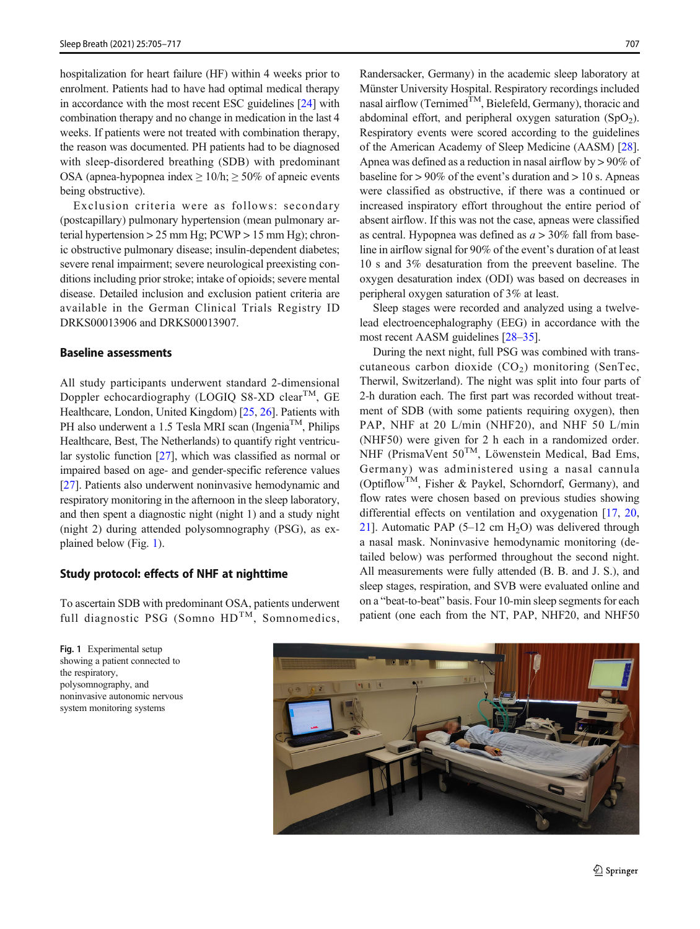hospitalization for heart failure (HF) within 4 weeks prior to enrolment. Patients had to have had optimal medical therapy in accordance with the most recent ESC guidelines [\[24\]](#page-11-0) with combination therapy and no change in medication in the last 4 weeks. If patients were not treated with combination therapy, the reason was documented. PH patients had to be diagnosed with sleep-disordered breathing (SDB) with predominant OSA (apnea-hypopnea index  $\geq 10/h$ ;  $\geq 50\%$  of apneic events being obstructive).

Exclusion criteria were as follows: secondary (postcapillary) pulmonary hypertension (mean pulmonary arterial hypertension > 25 mm Hg; PCWP > 15 mm Hg); chronic obstructive pulmonary disease; insulin-dependent diabetes; severe renal impairment; severe neurological preexisting conditions including prior stroke; intake of opioids; severe mental disease. Detailed inclusion and exclusion patient criteria are available in the German Clinical Trials Registry ID DRKS00013906 and DRKS00013907.

#### Baseline assessments

All study participants underwent standard 2-dimensional Doppler echocardiography (LOGIQ S8-XD clear<sup>TM</sup>, GE Healthcare, London, United Kingdom) [[25,](#page-11-0) [26](#page-11-0)]. Patients with PH also underwent a 1.5 Tesla MRI scan (Ingenia<sup>TM</sup>, Philips Healthcare, Best, The Netherlands) to quantify right ventricular systolic function [[27](#page-11-0)], which was classified as normal or impaired based on age- and gender-specific reference values [\[27\]](#page-11-0). Patients also underwent noninvasive hemodynamic and respiratory monitoring in the afternoon in the sleep laboratory, and then spent a diagnostic night (night 1) and a study night (night 2) during attended polysomnography (PSG), as explained below (Fig. 1).

#### Study protocol: effects of NHF at nighttime

To ascertain SDB with predominant OSA, patients underwent full diagnostic PSG (Somno  $HD<sup>TM</sup>$ , Somnomedics,

Randersacker, Germany) in the academic sleep laboratory at Münster University Hospital. Respiratory recordings included nasal airflow (Ternimed<sup>TM</sup>, Bielefeld, Germany), thoracic and abdominal effort, and peripheral oxygen saturation  $(SpO<sub>2</sub>)$ . Respiratory events were scored according to the guidelines of the American Academy of Sleep Medicine (AASM) [[28\]](#page-11-0). Apnea was defined as a reduction in nasal airflow by > 90% of baseline for  $> 90\%$  of the event's duration and  $> 10$  s. Apneas were classified as obstructive, if there was a continued or increased inspiratory effort throughout the entire period of absent airflow. If this was not the case, apneas were classified as central. Hypopnea was defined as  $a > 30\%$  fall from baseline in airflow signal for 90% of the event's duration of at least 10 s and 3% desaturation from the preevent baseline. The oxygen desaturation index (ODI) was based on decreases in peripheral oxygen saturation of 3% at least.

Sleep stages were recorded and analyzed using a twelvelead electroencephalography (EEG) in accordance with the most recent AASM guidelines [\[28](#page-11-0)–[35\]](#page-11-0).

During the next night, full PSG was combined with transcutaneous carbon dioxide  $(CO<sub>2</sub>)$  monitoring (SenTec, Therwil, Switzerland). The night was split into four parts of 2-h duration each. The first part was recorded without treatment of SDB (with some patients requiring oxygen), then PAP, NHF at 20 L/min (NHF20), and NHF 50 L/min (NHF50) were given for 2 h each in a randomized order. NHF (PrismaVent 50<sup>TM</sup>, Löwenstein Medical, Bad Ems, Germany) was administered using a nasal cannula (OptiflowTM, Fisher & Paykel, Schorndorf, Germany), and flow rates were chosen based on previous studies showing differential effects on ventilation and oxygenation [[17,](#page-10-0) [20,](#page-11-0) [21\]](#page-11-0). Automatic PAP  $(5-12 \text{ cm H}_2O)$  was delivered through a nasal mask. Noninvasive hemodynamic monitoring (detailed below) was performed throughout the second night. All measurements were fully attended (B. B. and J. S.), and sleep stages, respiration, and SVB were evaluated online and on a "beat-to-beat" basis. Four 10-min sleep segments for each patient (one each from the NT, PAP, NHF20, and NHF50



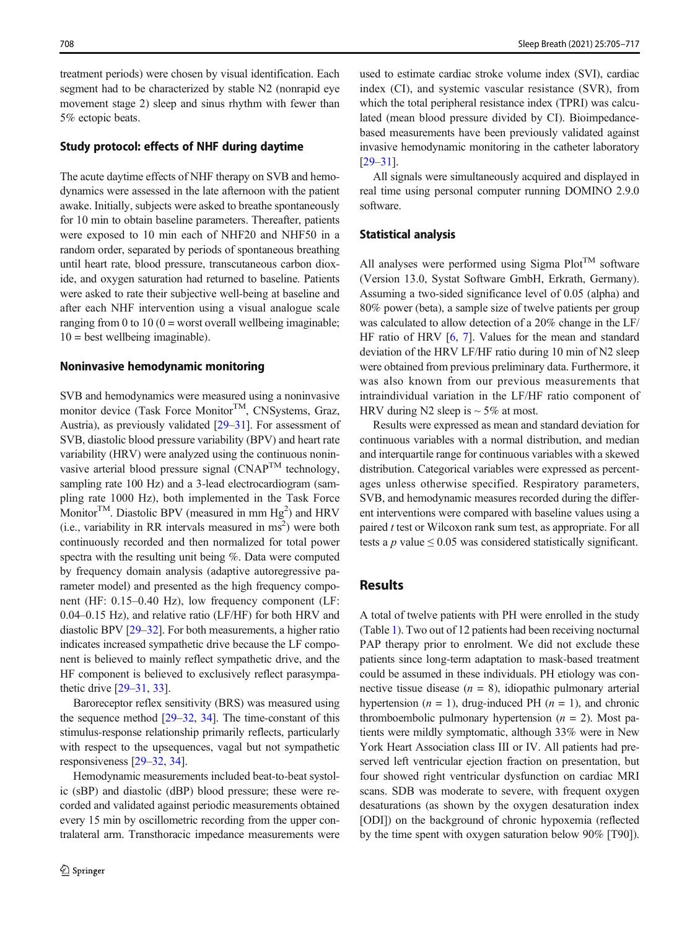treatment periods) were chosen by visual identification. Each segment had to be characterized by stable N2 (nonrapid eye movement stage 2) sleep and sinus rhythm with fewer than 5% ectopic beats.

#### Study protocol: effects of NHF during daytime

The acute daytime effects of NHF therapy on SVB and hemodynamics were assessed in the late afternoon with the patient awake. Initially, subjects were asked to breathe spontaneously for 10 min to obtain baseline parameters. Thereafter, patients were exposed to 10 min each of NHF20 and NHF50 in a random order, separated by periods of spontaneous breathing until heart rate, blood pressure, transcutaneous carbon dioxide, and oxygen saturation had returned to baseline. Patients were asked to rate their subjective well-being at baseline and after each NHF intervention using a visual analogue scale ranging from 0 to 10 ( $0 =$  worst overall wellbeing imaginable;  $10 =$  best wellbeing imaginable).

#### Noninvasive hemodynamic monitoring

SVB and hemodynamics were measured using a noninvasive monitor device (Task Force Monitor<sup>TM</sup>, CNSystems, Graz, Austria), as previously validated [\[29](#page-11-0)–[31](#page-11-0)]. For assessment of SVB, diastolic blood pressure variability (BPV) and heart rate variability (HRV) were analyzed using the continuous noninvasive arterial blood pressure signal  $(CNAP^{TM}$  technology, sampling rate 100 Hz) and a 3-lead electrocardiogram (sampling rate 1000 Hz), both implemented in the Task Force Monitor<sup>TM</sup>. Diastolic BPV (measured in mm  $Hg<sup>2</sup>$ ) and HRV  $(i.e., variability in RR intervals measured in ms<sup>2</sup>)$  were both continuously recorded and then normalized for total power spectra with the resulting unit being %. Data were computed by frequency domain analysis (adaptive autoregressive parameter model) and presented as the high frequency component (HF: 0.15–0.40 Hz), low frequency component (LF: 0.04–0.15 Hz), and relative ratio (LF/HF) for both HRV and diastolic BPV [\[29](#page-11-0)–[32\]](#page-11-0). For both measurements, a higher ratio indicates increased sympathetic drive because the LF component is believed to mainly reflect sympathetic drive, and the HF component is believed to exclusively reflect parasympathetic drive [[29](#page-11-0)–[31,](#page-11-0) [33\]](#page-11-0).

Baroreceptor reflex sensitivity (BRS) was measured using the sequence method [[29](#page-11-0)–[32](#page-11-0), [34\]](#page-11-0). The time-constant of this stimulus-response relationship primarily reflects, particularly with respect to the upsequences, vagal but not sympathetic responsiveness [[29](#page-11-0)–[32](#page-11-0), [34](#page-11-0)].

Hemodynamic measurements included beat-to-beat systolic (sBP) and diastolic (dBP) blood pressure; these were recorded and validated against periodic measurements obtained every 15 min by oscillometric recording from the upper contralateral arm. Transthoracic impedance measurements were used to estimate cardiac stroke volume index (SVI), cardiac index (CI), and systemic vascular resistance (SVR), from which the total peripheral resistance index (TPRI) was calculated (mean blood pressure divided by CI). Bioimpedancebased measurements have been previously validated against invasive hemodynamic monitoring in the catheter laboratory [\[29](#page-11-0)–[31\]](#page-11-0).

All signals were simultaneously acquired and displayed in real time using personal computer running DOMINO 2.9.0 software.

#### Statistical analysis

All analyses were performed using Sigma Plot<sup>TM</sup> software (Version 13.0, Systat Software GmbH, Erkrath, Germany). Assuming a two-sided significance level of 0.05 (alpha) and 80% power (beta), a sample size of twelve patients per group was calculated to allow detection of a 20% change in the LF/ HF ratio of HRV [[6,](#page-10-0) [7\]](#page-10-0). Values for the mean and standard deviation of the HRV LF/HF ratio during 10 min of N2 sleep were obtained from previous preliminary data. Furthermore, it was also known from our previous measurements that intraindividual variation in the LF/HF ratio component of HRV during N2 sleep is  $\sim$  5% at most.

Results were expressed as mean and standard deviation for continuous variables with a normal distribution, and median and interquartile range for continuous variables with a skewed distribution. Categorical variables were expressed as percentages unless otherwise specified. Respiratory parameters, SVB, and hemodynamic measures recorded during the different interventions were compared with baseline values using a paired t test or Wilcoxon rank sum test, as appropriate. For all tests a p value  $\leq 0.05$  was considered statistically significant.

## Results

A total of twelve patients with PH were enrolled in the study (Table [1](#page-4-0)). Two out of 12 patients had been receiving nocturnal PAP therapy prior to enrolment. We did not exclude these patients since long-term adaptation to mask-based treatment could be assumed in these individuals. PH etiology was connective tissue disease  $(n = 8)$ , idiopathic pulmonary arterial hypertension ( $n = 1$ ), drug-induced PH ( $n = 1$ ), and chronic thromboembolic pulmonary hypertension  $(n = 2)$ . Most patients were mildly symptomatic, although 33% were in New York Heart Association class III or IV. All patients had preserved left ventricular ejection fraction on presentation, but four showed right ventricular dysfunction on cardiac MRI scans. SDB was moderate to severe, with frequent oxygen desaturations (as shown by the oxygen desaturation index [ODI]) on the background of chronic hypoxemia (reflected by the time spent with oxygen saturation below 90% [T90]).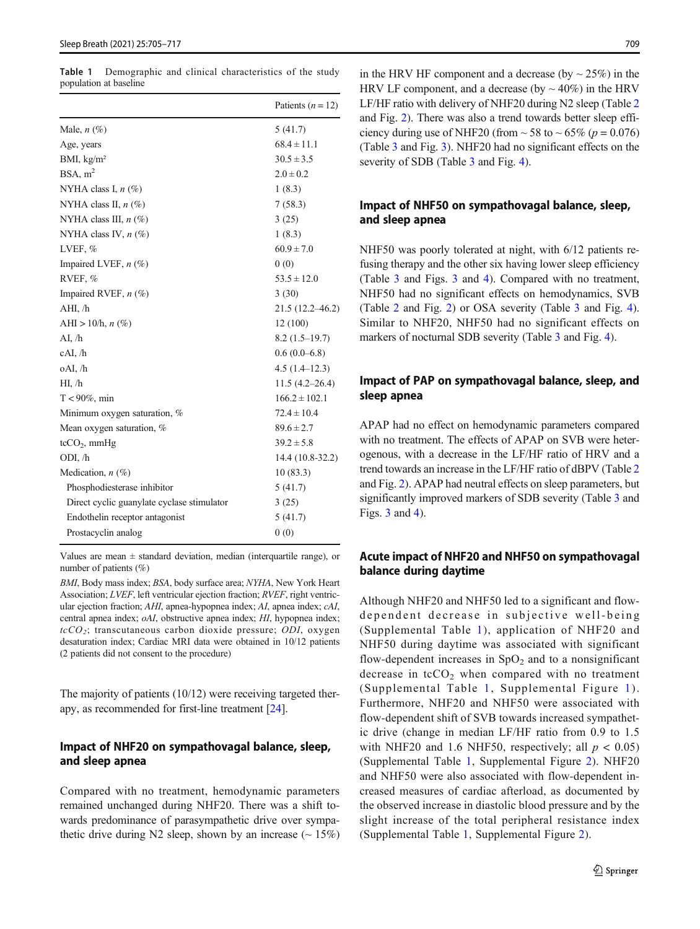<span id="page-4-0"></span>Table 1 Demographic and clinical characteristics of the study population at baseline

|                                            | Patients $(n = 12)$ |
|--------------------------------------------|---------------------|
| Male, $n \ (\%)$                           | 5(41.7)             |
| Age, years                                 | $68.4 \pm 11.1$     |
| BMI, $kg/m2$                               | $30.5 \pm 3.5$      |
| BSA, m <sup>2</sup>                        | $2.0 \pm 0.2$       |
| NYHA class I, $n$ (%)                      | 1(8.3)              |
| NYHA class II, $n$ (%)                     | 7(58.3)             |
| NYHA class III, $n$ (%)                    | 3(25)               |
| NYHA class IV, $n$ (%)                     | 1(8.3)              |
| LVEF, $%$                                  | $60.9 \pm 7.0$      |
| Impaired LVEF, $n$ (%)                     | 0(0)                |
| RVEF, %                                    | $53.5 \pm 12.0$     |
| Impaired RVEF, n (%)                       | 3(30)               |
| AHI, /h                                    | $21.5(12.2 - 46.2)$ |
| AHI > 10/h, $n$ (%)                        | 12 (100)            |
| AI, /h                                     | $8.2(1.5-19.7)$     |
| cAI, /h                                    | $0.6(0.0-6.8)$      |
| oAI, /h                                    | $4.5(1.4-12.3)$     |
| HI, /h                                     | $11.5(4.2 - 26.4)$  |
| $T < 90\%$ , min                           | $166.2 \pm 102.1$   |
| Minimum oxygen saturation, %               | $72.4 \pm 10.4$     |
| Mean oxygen saturation, %                  | $89.6 \pm 2.7$      |
| $tcCO2$ , mmHg                             | $39.2 \pm 5.8$      |
| ODI, /h                                    | 14.4 (10.8-32.2)    |
| Medication, $n$ (%)                        | 10(83.3)            |
| Phosphodiesterase inhibitor                | 5(41.7)             |
| Direct cyclic guanylate cyclase stimulator | 3(25)               |
| Endothelin receptor antagonist             | 5(41.7)             |
| Prostacyclin analog                        | 0(0)                |

Values are mean  $\pm$  standard deviation, median (interquartile range), or number of patients (%)

BMI, Body mass index; BSA, body surface area; NYHA, New York Heart Association; LVEF, left ventricular ejection fraction; RVEF, right ventricular ejection fraction; AHI, apnea-hypopnea index; AI, apnea index; cAI, central apnea index; oAI, obstructive apnea index; HI, hypopnea index;  $tcCO<sub>2</sub>$ ; transcutaneous carbon dioxide pressure; ODI, oxygen desaturation index; Cardiac MRI data were obtained in 10/12 patients (2 patients did not consent to the procedure)

The majority of patients (10/12) were receiving targeted therapy, as recommended for first-line treatment [[24\]](#page-11-0).

### Impact of NHF20 on sympathovagal balance, sleep, and sleep apnea

Compared with no treatment, hemodynamic parameters remained unchanged during NHF20. There was a shift towards predominance of parasympathetic drive over sympathetic drive during N2 sleep, shown by an increase  $($   $\sim$  15%) in the HRV HF component and a decrease (by  $\sim$  25%) in the HRV LF component, and a decrease (by  $\sim$  40%) in the HRV LF/HF ratio with delivery of NHF20 during N2 sleep (Table [2](#page-5-0) and Fig. [2](#page-7-0)). There was also a trend towards better sleep efficiency during use of NHF20 (from  $\sim$  58 to  $\sim$  65% (p = 0.076) (Table [3](#page-6-0) and Fig. [3](#page-7-0)). NHF20 had no significant effects on the severity of SDB (Table [3](#page-6-0) and Fig. [4\)](#page-8-0).

## Impact of NHF50 on sympathovagal balance, sleep, and sleep apnea

NHF50 was poorly tolerated at night, with 6/12 patients refusing therapy and the other six having lower sleep efficiency (Table [3](#page-6-0) and Figs. [3](#page-7-0) and [4](#page-8-0)). Compared with no treatment, NHF50 had no significant effects on hemodynamics, SVB (Table [2](#page-5-0) and Fig. [2\)](#page-7-0) or OSA severity (Table [3](#page-6-0) and Fig. [4\)](#page-8-0). Similar to NHF20, NHF50 had no significant effects on markers of nocturnal SDB severity (Table [3](#page-6-0) and Fig. [4](#page-8-0)).

## Impact of PAP on sympathovagal balance, sleep, and sleep apnea

APAP had no effect on hemodynamic parameters compared with no treatment. The effects of APAP on SVB were heterogenous, with a decrease in the LF/HF ratio of HRV and a trend towards an increase in the LF/HF ratio of dBPV (Table [2](#page-5-0) and Fig. [2\)](#page-7-0). APAP had neutral effects on sleep parameters, but significantly improved markers of SDB severity (Table [3](#page-6-0) and Figs. [3](#page-7-0) and [4](#page-8-0)).

### Acute impact of NHF20 and NHF50 on sympathovagal balance during daytime

Although NHF20 and NHF50 led to a significant and flowdependent decrease in subjective well-being (Supplemental Table 1), application of NHF20 and NHF50 during daytime was associated with significant flow-dependent increases in  $SpO<sub>2</sub>$  and to a nonsignificant decrease in  $tcCO<sub>2</sub>$  when compared with no treatment (Supplemental Table 1, Supplemental Figure 1). Furthermore, NHF20 and NHF50 were associated with flow-dependent shift of SVB towards increased sympathetic drive (change in median LF/HF ratio from 0.9 to 1.5 with NHF20 and 1.6 NHF50, respectively; all  $p < 0.05$ ) (Supplemental Table 1, Supplemental Figure 2). NHF20 and NHF50 were also associated with flow-dependent increased measures of cardiac afterload, as documented by the observed increase in diastolic blood pressure and by the slight increase of the total peripheral resistance index (Supplemental Table 1, Supplemental Figure 2).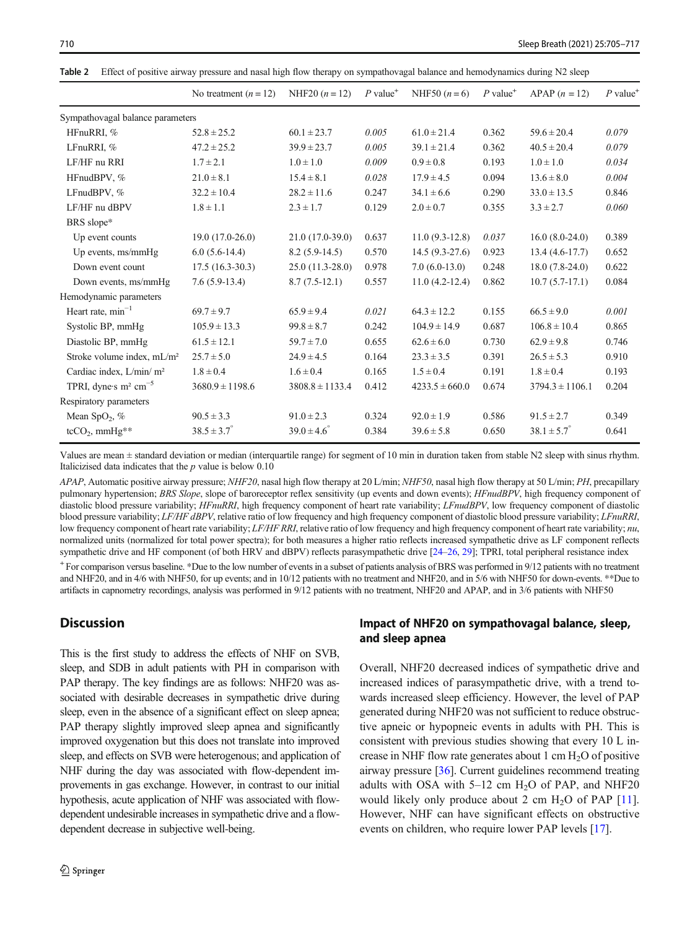|                                        | No treatment $(n = 12)$ | NHF20 $(n = 12)$     | $P$ value <sup>+</sup> | NHF50 $(n = 6)$    | $P$ value <sup>+</sup> | $APAP(n = 12)$         | $P$ value <sup>+</sup> |
|----------------------------------------|-------------------------|----------------------|------------------------|--------------------|------------------------|------------------------|------------------------|
| Sympathovagal balance parameters       |                         |                      |                        |                    |                        |                        |                        |
| HFnuRRI, %                             | $52.8 \pm 25.2$         | $60.1 \pm 23.7$      | 0.005                  | $61.0 \pm 21.4$    | 0.362                  | $59.6 \pm 20.4$        | 0.079                  |
| LFnuRRI, %                             | $47.2 \pm 25.2$         | $39.9 \pm 23.7$      | 0.005                  | $39.1 \pm 21.4$    | 0.362                  | $40.5 \pm 20.4$        | 0.079                  |
| LF/HF nu RRI                           | $1.7 \pm 2.1$           | $1.0 \pm 1.0$        | 0.009                  | $0.9 \pm 0.8$      | 0.193                  | $1.0 \pm 1.0$          | 0.034                  |
| HFnudBPV, %                            | $21.0 \pm 8.1$          | $15.4 \pm 8.1$       | 0.028                  | $17.9 \pm 4.5$     | 0.094                  | $13.6 \pm 8.0$         | 0.004                  |
| LFnudBPV, %                            | $32.2 \pm 10.4$         | $28.2 \pm 11.6$      | 0.247                  | $34.1 \pm 6.6$     | 0.290                  | $33.0 \pm 13.5$        | 0.846                  |
| LF/HF nu dBPV                          | $1.8 \pm 1.1$           | $2.3 \pm 1.7$        | 0.129                  | $2.0 \pm 0.7$      | 0.355                  | $3.3 \pm 2.7$          | 0.060                  |
| BRS slope*                             |                         |                      |                        |                    |                        |                        |                        |
| Up event counts                        | 19.0 (17.0-26.0)        | 21.0 (17.0-39.0)     | 0.637                  | $11.0(9.3-12.8)$   | 0.037                  | $16.0(8.0-24.0)$       | 0.389                  |
| Up events, ms/mmHg                     | $6.0(5.6-14.4)$         | $8.2(5.9-14.5)$      | 0.570                  | $14.5(9.3-27.6)$   | 0.923                  | $13.4(4.6-17.7)$       | 0.652                  |
| Down event count                       | $17.5(16.3-30.3)$       | $25.0(11.3-28.0)$    | 0.978                  | $7.0(6.0-13.0)$    | 0.248                  | $18.0(7.8-24.0)$       | 0.622                  |
| Down events, ms/mmHg                   | $7.6(5.9-13.4)$         | $8.7(7.5-12.1)$      | 0.557                  | $11.0(4.2-12.4)$   | 0.862                  | $10.7(5.7-17.1)$       | 0.084                  |
| Hemodynamic parameters                 |                         |                      |                        |                    |                        |                        |                        |
| Heart rate, $min^{-1}$                 | $69.7 \pm 9.7$          | $65.9 \pm 9.4$       | 0.021                  | $64.3 \pm 12.2$    | 0.155                  | $66.5 \pm 9.0$         | 0.001                  |
| Systolic BP, mmHg                      | $105.9 \pm 13.3$        | $99.8 \pm 8.7$       | 0.242                  | $104.9 \pm 14.9$   | 0.687                  | $106.8 \pm 10.4$       | 0.865                  |
| Diastolic BP, mmHg                     | $61.5 \pm 12.1$         | $59.7 \pm 7.0$       | 0.655                  | $62.6 \pm 6.0$     | 0.730                  | $62.9 \pm 9.8$         | 0.746                  |
| Stroke volume index, mL/m <sup>2</sup> | $25.7 \pm 5.0$          | $24.9 \pm 4.5$       | 0.164                  | $23.3 \pm 3.5$     | 0.391                  | $26.5 \pm 5.3$         | 0.910                  |
| Cardiac index, L/min/ m <sup>2</sup>   | $1.8 \pm 0.4$           | $1.6 \pm 0.4$        | 0.165                  | $1.5 \pm 0.4$      | 0.191                  | $1.8 \pm 0.4$          | 0.193                  |
| TPRI, dynes $m^2$ cm <sup>-5</sup>     | $3680.9 \pm 1198.6$     | $3808.8 \pm 1133.4$  | 0.412                  | $4233.5 \pm 660.0$ | 0.674                  | $3794.3 \pm 1106.1$    | 0.204                  |
| Respiratory parameters                 |                         |                      |                        |                    |                        |                        |                        |
| Mean SpO <sub>2</sub> , $%$            | $90.5 \pm 3.3$          | $91.0 \pm 2.3$       | 0.324                  | $92.0 \pm 1.9$     | 0.586                  | $91.5 \pm 2.7$         | 0.349                  |
| $tcCO2$ , mmHg <sup>**</sup>           | $38.5 \pm 3.7^{\circ}$  | $39.0 \pm 4.6^\circ$ | 0.384                  | $39.6 \pm 5.8$     | 0.650                  | $38.1 \pm 5.7^{\circ}$ | 0.641                  |

<span id="page-5-0"></span>Table 2 Effect of positive airway pressure and nasal high flow therapy on sympathovagal balance and hemodynamics during N2 sleep

Values are mean ± standard deviation or median (interquartile range) for segment of 10 min in duration taken from stable N2 sleep with sinus rhythm. Italicizised data indicates that the  $p$  value is below 0.10

APAP, Automatic positive airway pressure; NHF20, nasal high flow therapy at 20 L/min; NHF50, nasal high flow therapy at 50 L/min; PH, precapillary pulmonary hypertension; BRS Slope, slope of baroreceptor reflex sensitivity (up events and down events); HFnudBPV, high frequency component of diastolic blood pressure variability; HFnuRRI, high frequency component of heart rate variability; LFnudBPV, low frequency component of diastolic blood pressure variability; LF/HF dBPV, relative ratio of low frequency and high frequency component of diastolic blood pressure variability; LFnuRRI, low frequency component of heart rate variability; LF/HF RRI, relative ratio of low frequency and high frequency component of heart rate variability; nu, normalized units (normalized for total power spectra); for both measures a higher ratio reflects increased sympathetic drive as LF component reflects sympathetic drive and HF component (of both HRV and dBPV) reflects parasympathetic drive [\[24](#page-11-0)–[26](#page-11-0), [29\]](#page-11-0); TPRI, total peripheral resistance index

<sup>+</sup> For comparison versus baseline. \*Due to the low number of events in a subset of patients analysis of BRS was performed in 9/12 patients with no treatment and NHF20, and in 4/6 with NHF50, for up events; and in 10/12 patients with no treatment and NHF20, and in 5/6 with NHF50 for down-events. \*\*Due to artifacts in capnometry recordings, analysis was performed in 9/12 patients with no treatment, NHF20 and APAP, and in 3/6 patients with NHF50

# **Discussion**

This is the first study to address the effects of NHF on SVB, sleep, and SDB in adult patients with PH in comparison with PAP therapy. The key findings are as follows: NHF20 was associated with desirable decreases in sympathetic drive during sleep, even in the absence of a significant effect on sleep apnea; PAP therapy slightly improved sleep apnea and significantly improved oxygenation but this does not translate into improved sleep, and effects on SVB were heterogenous; and application of NHF during the day was associated with flow-dependent improvements in gas exchange. However, in contrast to our initial hypothesis, acute application of NHF was associated with flowdependent undesirable increases in sympathetic drive and a flowdependent decrease in subjective well-being.

# Impact of NHF20 on sympathovagal balance, sleep, and sleep apnea

Overall, NHF20 decreased indices of sympathetic drive and increased indices of parasympathetic drive, with a trend towards increased sleep efficiency. However, the level of PAP generated during NHF20 was not sufficient to reduce obstructive apneic or hypopneic events in adults with PH. This is consistent with previous studies showing that every 10 L increase in NHF flow rate generates about 1 cm  $H_2O$  of positive airway pressure [\[36](#page-11-0)]. Current guidelines recommend treating adults with OSA with  $5-12$  cm  $H<sub>2</sub>O$  of PAP, and NHF20 would likely only produce about 2 cm  $H_2O$  of PAP [\[11\]](#page-10-0). However, NHF can have significant effects on obstructive events on children, who require lower PAP levels [\[17](#page-10-0)].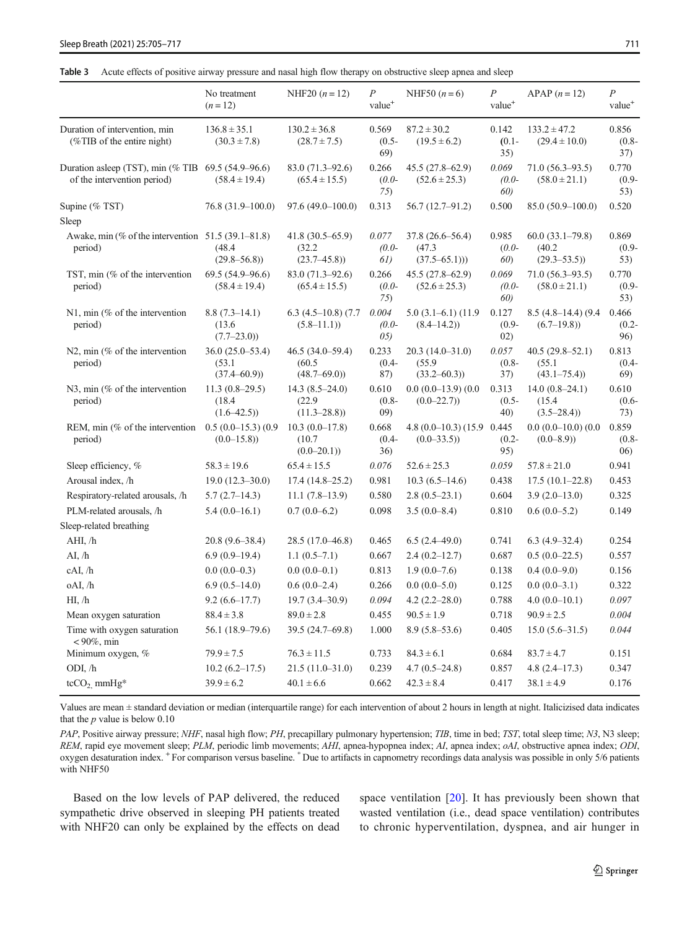<span id="page-6-0"></span>

|  |  |  |  | Table 3 Acute effects of positive airway pressure and nasal high flow therapy on obstructive sleep apnea and sleep |  |
|--|--|--|--|--------------------------------------------------------------------------------------------------------------------|--|
|--|--|--|--|--------------------------------------------------------------------------------------------------------------------|--|

|                                                                                     | No treatment<br>$(n=12)$                       | NHF20 $(n = 12)$                                 | $\boldsymbol{P}$<br>value <sup>+</sup> | NHF50 $(n = 6)$                                   | $\overline{P}$<br>value <sup>+</sup> | APAP $(n = 12)$                                 | $\overline{P}$<br>value <sup>+</sup> |
|-------------------------------------------------------------------------------------|------------------------------------------------|--------------------------------------------------|----------------------------------------|---------------------------------------------------|--------------------------------------|-------------------------------------------------|--------------------------------------|
| Duration of intervention, min<br>$(\%$ TIB of the entire night)                     | $136.8 \pm 35.1$<br>$(30.3 \pm 7.8)$           | $130.2 \pm 36.8$<br>$(28.7 \pm 7.5)$             | 0.569<br>$(0.5 -$<br>69)               | $87.2 \pm 30.2$<br>$(19.5 \pm 6.2)$               | 0.142<br>$(0.1 -$<br>35)             | $133.2 \pm 47.2$<br>$(29.4 \pm 10.0)$           | 0.856<br>$(0.8 -$<br>37)             |
| Duration asleep (TST), min (% TIB $69.5$ (54.9–96.6)<br>of the intervention period) | $(58.4 \pm 19.4)$                              | $83.0(71.3 - 92.6)$<br>$(65.4 \pm 15.5)$         | 0.266<br>$(0.0-$<br>75)                | $45.5(27.8 - 62.9)$<br>$(52.6 \pm 25.3)$          | 0.069<br>$(0.0-$<br>60)              | $71.0(56.3-93.5)$<br>$(58.0 \pm 21.1)$          | 0.770<br>$(0.9 -$<br>53)             |
| Supine (% TST)                                                                      | $76.8(31.9-100.0)$                             | $97.6(49.0 - 100.0)$                             | 0.313                                  | $56.7(12.7-91.2)$                                 | 0.500                                | $85.0(50.9-100.0)$                              | 0.520                                |
| Sleep                                                                               |                                                |                                                  |                                        |                                                   |                                      |                                                 |                                      |
| Awake, min (% of the intervention $51.5$ (39.1–81.8)<br>period)                     | (48.4)<br>$(29.8 - 56.8)$                      | $41.8(30.5 - 65.9)$<br>(32.2)<br>$(23.7 - 45.8)$ | 0.077<br>$(0.0-$<br>61)                | $37.8(26.6 - 56.4)$<br>(47.3)<br>$(37.5 - 65.1))$ | 0.985<br>$(0.0 -$<br>60)             | $60.0(33.1-79.8)$<br>(40.2)<br>$(29.3 - 53.5))$ | 0.869<br>$(0.9 -$<br>53)             |
| TST, min (% of the intervention<br>period)                                          | $69.5(54.9-96.6)$<br>$(58.4 \pm 19.4)$         | 83.0 (71.3–92.6)<br>$(65.4 \pm 15.5)$            | 0.266<br>$(0.0-$<br>75)                | $45.5(27.8 - 62.9)$<br>$(52.6 \pm 25.3)$          | 0.069<br>$(0.0-$<br>60)              | $71.0(56.3 - 93.5)$<br>$(58.0 \pm 21.1)$        | 0.770<br>$(0.9 -$<br>53)             |
| $N1$ , min (% of the intervention<br>period)                                        | $8.8(7.3-14.1)$<br>(13.6)<br>$(7.7-23.0)$      | $6.3$ $(4.5-10.8)$ $(7.7)$<br>$(5.8 - 11.1)$     | 0.004<br>$(0.0-$<br>05)                | $5.0$ $(3.1-6.1)$ $(11.9)$<br>$(8.4 - 14.2)$      | 0.127<br>$(0.9 -$<br>02)             | $8.5(4.8-14.4)(9.4)$<br>$(6.7-19.8)$            | 0.466<br>$(0.2 -$<br>96)             |
| $N2$ , min (% of the intervention<br>period)                                        | $36.0(25.0-53.4)$<br>(53.1)<br>$(37.4 - 60.9)$ | 46.5 (34.0–59.4)<br>(60.5)<br>$(48.7 - 69.0)$    | 0.233<br>$(0.4 -$<br>87)               | $20.3(14.0-31.0)$<br>(55.9)<br>$(33.2 - 60.3)$    | 0.057<br>$(0.8 -$<br>37)             | $40.5(29.8-52.1)$<br>(55.1)<br>$(43.1 - 75.4)$  | 0.813<br>$(0.4 -$<br>69)             |
| N3, min $%$ of the intervention<br>period)                                          | $11.3(0.8-29.5)$<br>(18.4)<br>$(1.6 - 42.5)$   | $14.3(8.5-24.0)$<br>(22.9)<br>$(11.3 - 28.8)$    | 0.610<br>$(0.8 -$<br>09)               | $0.0(0.0-13.9)(0.0)$<br>$(0.0-22.7)$              | 0.313<br>$(0.5 -$<br>40)             | $14.0(0.8-24.1)$<br>(15.4)<br>$(3.5 - 28.4)$    | 0.610<br>$(0.6 -$<br>73)             |
| REM, min (% of the intervention<br>period)                                          | $0.5(0.0-15.3)(0.9)$<br>$(0.0-15.8)$           | $10.3(0.0-17.8)$<br>(10.7)<br>$(0.0-20.1)$       | 0.668<br>$(0.4 -$<br>36)               | $4.8(0.0-10.3)(15.9 0.445)$<br>$(0.0 - 33.5)$     | $(0.2 -$<br>95)                      | $0.0(0.0-10.0)(0.0)$<br>$(0.0 - 8.9)$           | 0.859<br>$(0.8 -$<br>(06)            |
| Sleep efficiency, %                                                                 | $58.3 \pm 19.6$                                | $65.4 \pm 15.5$                                  | 0.076                                  | $52.6 \pm 25.3$                                   | 0.059                                | $57.8 \pm 21.0$                                 | 0.941                                |
| Arousal index, /h                                                                   | $19.0(12.3-30.0)$                              | $17.4(14.8-25.2)$                                | 0.981                                  | $10.3(6.5-14.6)$                                  | 0.438                                | $17.5(10.1 - 22.8)$                             | 0.453                                |
| Respiratory-related arousals, /h                                                    | $5.7(2.7-14.3)$                                | $11.1(7.8-13.9)$                                 | 0.580                                  | $2.8(0.5-23.1)$                                   | 0.604                                | $3.9(2.0-13.0)$                                 | 0.325                                |
| PLM-related arousals, /h                                                            | $5.4(0.0-16.1)$                                | $0.7(0.0-6.2)$                                   | 0.098                                  | $3.5(0.0-8.4)$                                    | 0.810                                | $0.6(0.0-5.2)$                                  | 0.149                                |
| Sleep-related breathing                                                             |                                                |                                                  |                                        |                                                   |                                      |                                                 |                                      |
| AHI, /h                                                                             | $20.8(9.6 - 38.4)$                             | 28.5 (17.0-46.8)                                 | 0.465                                  | $6.5(2.4-49.0)$                                   | 0.741                                | $6.3(4.9-32.4)$                                 | 0.254                                |
| AI, /h                                                                              | $6.9(0.9-19.4)$                                | $1.1(0.5-7.1)$                                   | 0.667                                  | $2.4(0.2 - 12.7)$                                 | 0.687                                | $0.5(0.0-22.5)$                                 | 0.557                                |
| cAI, /h                                                                             | $0.0(0.0-0.3)$                                 | $0.0(0.0-0.1)$                                   | 0.813                                  | $1.9(0.0-7.6)$                                    | 0.138                                | $0.4(0.0-9.0)$                                  | 0.156                                |
| oAI, /h                                                                             | $6.9(0.5-14.0)$                                | $0.6(0.0-2.4)$                                   | 0.266                                  | $0.0(0.0-5.0)$                                    | 0.125                                | $0.0(0.0-3.1)$                                  | 0.322                                |
| HI, /h                                                                              | $9.2(6.6-17.7)$                                | $19.7(3.4 - 30.9)$                               | 0.094                                  | $4.2(2.2 - 28.0)$                                 | 0.788                                | $4.0(0.0-10.1)$                                 | 0.097                                |
| Mean oxygen saturation                                                              | $88.4 \pm 3.8$                                 | $89.0 \pm 2.8$                                   | 0.455                                  | $90.5 \pm 1.9$                                    | 0.718                                | $90.9 \pm 2.5$                                  | 0.004                                |
| Time with oxygen saturation<br>$< 90\%$ , min                                       | 56.1 (18.9–79.6)                               | 39.5 (24.7-69.8)                                 | 1.000                                  | $8.9(5.8-53.6)$                                   | 0.405                                | $15.0(5.6-31.5)$                                | 0.044                                |
| Minimum oxygen, %                                                                   | $79.9 \pm 7.5$                                 | $76.3 \pm 11.5$                                  | 0.733                                  | $84.3 \pm 6.1$                                    | 0.684                                | $83.7 \pm 4.7$                                  | 0.151                                |
| ODI, /h                                                                             | $10.2(6.2 - 17.5)$                             | $21.5(11.0-31.0)$                                | 0.239                                  | $4.7(0.5-24.8)$                                   | 0.857                                | $4.8(2.4-17.3)$                                 | 0.347                                |
| $tcCO2 mmHg*$                                                                       | $39.9 \pm 6.2$                                 | $40.1 \pm 6.6$                                   | 0.662                                  | $42.3 \pm 8.4$                                    | 0.417                                | $38.1 \pm 4.9$                                  | 0.176                                |

Values are mean ± standard deviation or median (interquartile range) for each intervention of about 2 hours in length at night. Italicizised data indicates that the  $p$  value is below 0.10

PAP, Positive airway pressure; NHF, nasal high flow; PH, precapillary pulmonary hypertension; TIB, time in bed; TST, total sleep time; N3, N3 sleep; REM, rapid eye movement sleep; PLM, periodic limb movements; AHI, apnea-hypopnea index; AI, apnea index; oAI, obstructive apnea index; ODI, oxygen desaturation index. <sup>+</sup> For comparison versus baseline. \* Due to artifacts in capnometry recordings data analysis was possible in only 5/6 patients with NHF50

Based on the low levels of PAP delivered, the reduced sympathetic drive observed in sleeping PH patients treated with NHF20 can only be explained by the effects on dead space ventilation [[20\]](#page-11-0). It has previously been shown that wasted ventilation (i.e., dead space ventilation) contributes to chronic hyperventilation, dyspnea, and air hunger in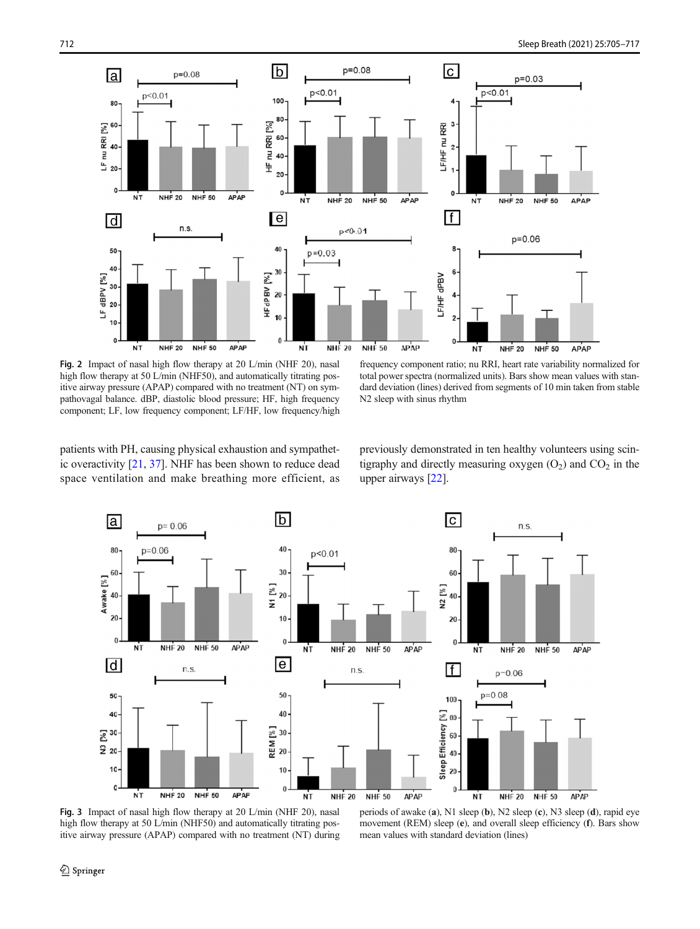<span id="page-7-0"></span>

Fig. 2 Impact of nasal high flow therapy at 20 L/min (NHF 20), nasal high flow therapy at 50 L/min (NHF50), and automatically titrating positive airway pressure (APAP) compared with no treatment (NT) on sympathovagal balance. dBP, diastolic blood pressure; HF, high frequency component; LF, low frequency component; LF/HF, low frequency/high

frequency component ratio; nu RRI, heart rate variability normalized for total power spectra (normalized units). Bars show mean values with standard deviation (lines) derived from segments of 10 min taken from stable N2 sleep with sinus rhythm

patients with PH, causing physical exhaustion and sympathetic overactivity [\[21](#page-11-0), [37\]](#page-11-0). NHF has been shown to reduce dead space ventilation and make breathing more efficient, as

previously demonstrated in ten healthy volunteers using scintigraphy and directly measuring oxygen  $(O_2)$  and  $CO_2$  in the upper airways [[22](#page-11-0)].

movement (REM) sleep (e), and overall sleep efficiency (f). Bars show



Fig. 3 Impact of nasal high flow therapy at 20 L/min (NHF 20), nasal high flow therapy at 50 L/min (NHF50) and automatically titrating positive airway pressure (APAP) compared with no treatment (NT) during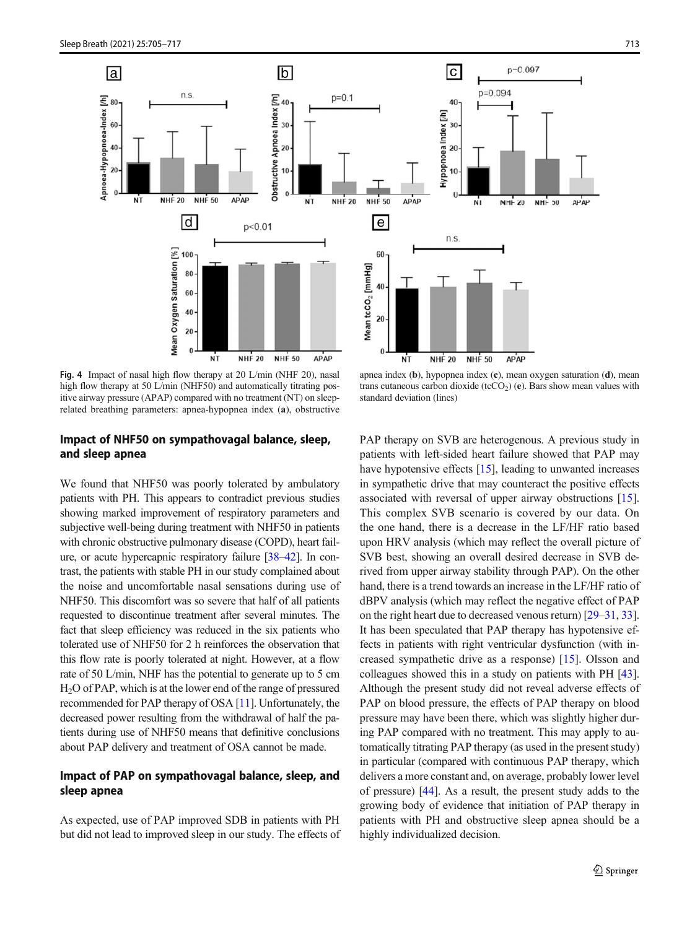<span id="page-8-0"></span>

Fig. 4 Impact of nasal high flow therapy at 20 L/min (NHF 20), nasal high flow therapy at 50 L/min (NHF50) and automatically titrating positive airway pressure (APAP) compared with no treatment (NT) on sleeprelated breathing parameters: apnea-hypopnea index (a), obstructive

## apnea index (b), hypopnea index (c), mean oxygen saturation (d), mean trans cutaneous carbon dioxide (tcCO<sub>2</sub>) (e). Bars show mean values with standard deviation (lines)

## Impact of NHF50 on sympathovagal balance, sleep, and sleep apnea

We found that NHF50 was poorly tolerated by ambulatory patients with PH. This appears to contradict previous studies showing marked improvement of respiratory parameters and subjective well-being during treatment with NHF50 in patients with chronic obstructive pulmonary disease (COPD), heart failure, or acute hypercapnic respiratory failure [\[38](#page-11-0)–[42\]](#page-11-0). In contrast, the patients with stable PH in our study complained about the noise and uncomfortable nasal sensations during use of NHF50. This discomfort was so severe that half of all patients requested to discontinue treatment after several minutes. The fact that sleep efficiency was reduced in the six patients who tolerated use of NHF50 for 2 h reinforces the observation that this flow rate is poorly tolerated at night. However, at a flow rate of 50 L/min, NHF has the potential to generate up to 5 cm H2O of PAP, which is at the lower end of the range of pressured recommended for PAP therapy of OSA [\[11](#page-10-0)]. Unfortunately, the decreased power resulting from the withdrawal of half the patients during use of NHF50 means that definitive conclusions about PAP delivery and treatment of OSA cannot be made.

## Impact of PAP on sympathovagal balance, sleep, and sleep apnea

As expected, use of PAP improved SDB in patients with PH but did not lead to improved sleep in our study. The effects of PAP therapy on SVB are heterogenous. A previous study in patients with left-sided heart failure showed that PAP may have hypotensive effects [\[15](#page-10-0)], leading to unwanted increases in sympathetic drive that may counteract the positive effects associated with reversal of upper airway obstructions [[15\]](#page-10-0). This complex SVB scenario is covered by our data. On the one hand, there is a decrease in the LF/HF ratio based upon HRV analysis (which may reflect the overall picture of SVB best, showing an overall desired decrease in SVB derived from upper airway stability through PAP). On the other hand, there is a trend towards an increase in the LF/HF ratio of dBPV analysis (which may reflect the negative effect of PAP on the right heart due to decreased venous return) [\[29](#page-11-0)–[31](#page-11-0), [33\]](#page-11-0). It has been speculated that PAP therapy has hypotensive effects in patients with right ventricular dysfunction (with increased sympathetic drive as a response) [\[15](#page-10-0)]. Olsson and colleagues showed this in a study on patients with PH [[43\]](#page-11-0). Although the present study did not reveal adverse effects of PAP on blood pressure, the effects of PAP therapy on blood pressure may have been there, which was slightly higher during PAP compared with no treatment. This may apply to automatically titrating PAP therapy (as used in the present study) in particular (compared with continuous PAP therapy, which delivers a more constant and, on average, probably lower level of pressure) [[44\]](#page-11-0). As a result, the present study adds to the growing body of evidence that initiation of PAP therapy in patients with PH and obstructive sleep apnea should be a highly individualized decision.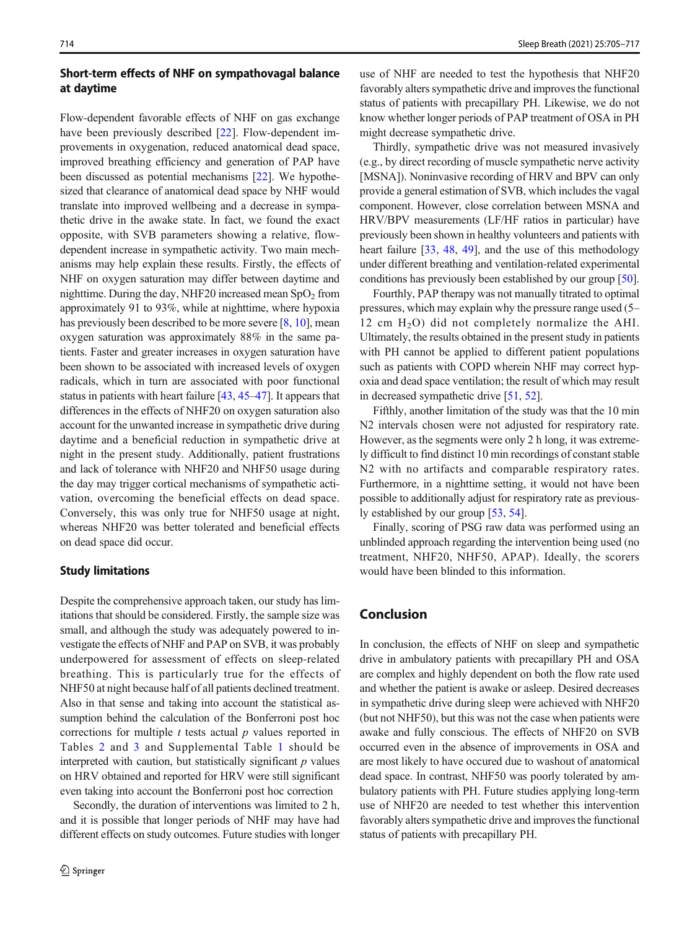## Short-term effects of NHF on sympathovagal balance at daytime

Flow-dependent favorable effects of NHF on gas exchange have been previously described [\[22](#page-11-0)]. Flow-dependent improvements in oxygenation, reduced anatomical dead space, improved breathing efficiency and generation of PAP have been discussed as potential mechanisms [\[22\]](#page-11-0). We hypothesized that clearance of anatomical dead space by NHF would translate into improved wellbeing and a decrease in sympathetic drive in the awake state. In fact, we found the exact opposite, with SVB parameters showing a relative, flowdependent increase in sympathetic activity. Two main mechanisms may help explain these results. Firstly, the effects of NHF on oxygen saturation may differ between daytime and nighttime. During the day, NHF20 increased mean  $SpO<sub>2</sub>$  from approximately 91 to 93%, while at nighttime, where hypoxia has previously been described to be more severe [\[8](#page-10-0), [10](#page-10-0)], mean oxygen saturation was approximately 88% in the same patients. Faster and greater increases in oxygen saturation have been shown to be associated with increased levels of oxygen radicals, which in turn are associated with poor functional status in patients with heart failure [\[43](#page-11-0), [45](#page-12-0)–[47](#page-12-0)]. It appears that differences in the effects of NHF20 on oxygen saturation also account for the unwanted increase in sympathetic drive during daytime and a beneficial reduction in sympathetic drive at night in the present study. Additionally, patient frustrations and lack of tolerance with NHF20 and NHF50 usage during the day may trigger cortical mechanisms of sympathetic activation, overcoming the beneficial effects on dead space. Conversely, this was only true for NHF50 usage at night, whereas NHF20 was better tolerated and beneficial effects on dead space did occur.

#### Study limitations

Despite the comprehensive approach taken, our study has limitations that should be considered. Firstly, the sample size was small, and although the study was adequately powered to investigate the effects of NHF and PAP on SVB, it was probably underpowered for assessment of effects on sleep-related breathing. This is particularly true for the effects of NHF50 at night because half of all patients declined treatment. Also in that sense and taking into account the statistical assumption behind the calculation of the Bonferroni post hoc corrections for multiple  $t$  tests actual  $p$  values reported in Tables [2](#page-5-0) and [3](#page-6-0) and Supplemental Table 1 should be interpreted with caution, but statistically significant  $p$  values on HRV obtained and reported for HRV were still significant even taking into account the Bonferroni post hoc correction

Secondly, the duration of interventions was limited to 2 h, and it is possible that longer periods of NHF may have had different effects on study outcomes. Future studies with longer

use of NHF are needed to test the hypothesis that NHF20 favorably alters sympathetic drive and improves the functional status of patients with precapillary PH. Likewise, we do not know whether longer periods of PAP treatment of OSA in PH might decrease sympathetic drive.

Thirdly, sympathetic drive was not measured invasively (e.g., by direct recording of muscle sympathetic nerve activity [MSNA]). Noninvasive recording of HRV and BPV can only provide a general estimation of SVB, which includes the vagal component. However, close correlation between MSNA and HRV/BPV measurements (LF/HF ratios in particular) have previously been shown in healthy volunteers and patients with heart failure [\[33](#page-11-0), [48](#page-12-0), [49](#page-12-0)], and the use of this methodology under different breathing and ventilation-related experimental conditions has previously been established by our group [[50\]](#page-12-0).

Fourthly, PAP therapy was not manually titrated to optimal pressures, which may explain why the pressure range used (5– 12 cm  $H_2O$ ) did not completely normalize the AHI. Ultimately, the results obtained in the present study in patients with PH cannot be applied to different patient populations such as patients with COPD wherein NHF may correct hypoxia and dead space ventilation; the result of which may result in decreased sympathetic drive [\[51,](#page-12-0) [52\]](#page-12-0).

Fifthly, another limitation of the study was that the 10 min N2 intervals chosen were not adjusted for respiratory rate. However, as the segments were only 2 h long, it was extremely difficult to find distinct 10 min recordings of constant stable N2 with no artifacts and comparable respiratory rates. Furthermore, in a nighttime setting, it would not have been possible to additionally adjust for respiratory rate as previously established by our group [\[53](#page-12-0), [54\]](#page-12-0).

Finally, scoring of PSG raw data was performed using an unblinded approach regarding the intervention being used (no treatment, NHF20, NHF50, APAP). Ideally, the scorers would have been blinded to this information.

# Conclusion

In conclusion, the effects of NHF on sleep and sympathetic drive in ambulatory patients with precapillary PH and OSA are complex and highly dependent on both the flow rate used and whether the patient is awake or asleep. Desired decreases in sympathetic drive during sleep were achieved with NHF20 (but not NHF50), but this was not the case when patients were awake and fully conscious. The effects of NHF20 on SVB occurred even in the absence of improvements in OSA and are most likely to have occured due to washout of anatomical dead space. In contrast, NHF50 was poorly tolerated by ambulatory patients with PH. Future studies applying long-term use of NHF20 are needed to test whether this intervention favorably alters sympathetic drive and improves the functional status of patients with precapillary PH.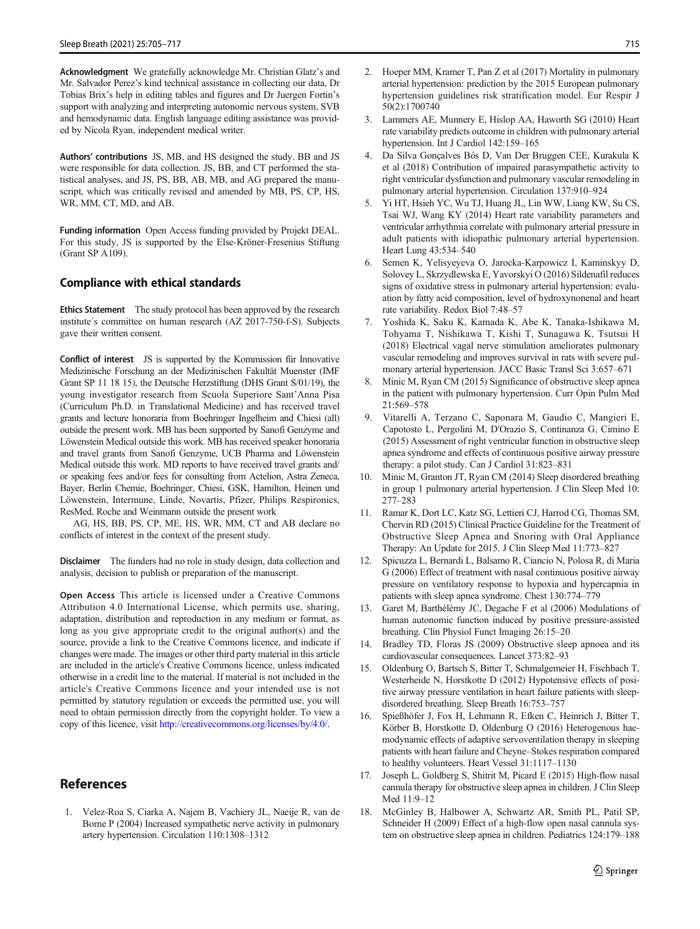<span id="page-10-0"></span>Acknowledgment We gratefully acknowledge Mr. Christian Glatz's and Mr. Salvador Perez's kind technical assistance in collecting our data, Dr Tobias Brix's help in editing tables and figures and Dr Juergen Fortin's support with analyzing and interpreting autonomic nervous system, SVB and hemodynamic data. English language editing assistance was provided by Nicola Ryan, independent medical writer.

Authors' contributions JS, MB, and HS designed the study. BB and JS were responsible for data collection. JS, BB, and CT performed the statistical analyses, and JS, PS, BB, AB, MB, and AG prepared the manuscript, which was critically revised and amended by MB, PS, CP, HS, WR, MM, CT, MD, and AB.

Funding information Open Access funding provided by Projekt DEAL. For this study, JS is supported by the Else-Kröner-Fresenius Stiftung (Grant SP A109).

#### Compliance with ethical standards

Ethics Statement The study protocol has been approved by the research institute´s committee on human research (AZ 2017-750-f-S). Subjects gave their written consent.

Conflict of interest JS is supported by the Kommission für Innovative Medizinische Forschung an der Medizinischen Fakultät Muenster (IMF Grant SP 11 18 15), the Deutsche Herzstiftung (DHS Grant S/01/19), the young investigator research from Scuola Superiore Sant'Anna Pisa (Curriculum Ph.D. in Translational Medicine) and has received travel grants and lecture honoraria from Boehringer Ingelheim and Chiesi (all) outside the present work. MB has been supported by Sanofi Genzyme and Löwenstein Medical outside this work. MB has received speaker honoraria and travel grants from Sanofi Genzyme, UCB Pharma and Löwenstein Medical outside this work. MD reports to have received travel grants and/ or speaking fees and/or fees for consulting from Actelion, Astra Zeneca, Bayer, Berlin Chemie, Boehringer, Chiesi, GSK, Hamilton, Heinen und Löwenstein, Intermune, Linde, Novartis, Pfizer, Philips Respironics, ResMed, Roche and Weinmann outside the present work

AG, HS, BB, PS, CP, ME, HS, WR, MM, CT and AB declare no conflicts of interest in the context of the present study.

Disclaimer The funders had no role in study design, data collection and analysis, decision to publish or preparation of the manuscript.

Open Access This article is licensed under a Creative Commons Attribution 4.0 International License, which permits use, sharing, adaptation, distribution and reproduction in any medium or format, as long as you give appropriate credit to the original author(s) and the source, provide a link to the Creative Commons licence, and indicate if changes were made. The images or other third party material in this article are included in the article's Creative Commons licence, unless indicated otherwise in a credit line to the material. If material is not included in the article's Creative Commons licence and your intended use is not permitted by statutory regulation or exceeds the permitted use, you will need to obtain permission directly from the copyright holder. To view a copy of this licence, visit [http://creativecommons.org/licenses/by/4.0/.](https://doi.org/)

#### References

1. Velez-Roa S, Ciarka A, Najem B, Vachiery JL, Naeije R, van de Borne P (2004) Increased sympathetic nerve activity in pulmonary artery hypertension. Circulation 110:1308–1312

- 2. Hoeper MM, Kramer T, Pan Z et al (2017) Mortality in pulmonary arterial hypertension: prediction by the 2015 European pulmonary hypertension guidelines risk stratification model. Eur Respir J 50(2):1700740
- 3. Lammers AE, Munnery E, Hislop AA, Haworth SG (2010) Heart rate variability predicts outcome in children with pulmonary arterial hypertension. Int J Cardiol 142:159–165
- 4. Da Silva Gonçalves Bós D, Van Der Bruggen CEE, Kurakula K et al (2018) Contribution of impaired parasympathetic activity to right ventricular dysfunction and pulmonary vascular remodeling in pulmonary arterial hypertension. Circulation 137:910–924
- 5. Yi HT, Hsieh YC, Wu TJ, Huang JL, Lin WW, Liang KW, Su CS, Tsai WJ, Wang KY (2014) Heart rate variability parameters and ventricular arrhythmia correlate with pulmonary arterial pressure in adult patients with idiopathic pulmonary arterial hypertension. Heart Lung 43:534–540
- 6. Semen K, Yelisyeyeva O, Jarocka-Karpowicz I, Kaminskyy D, Solovey L, Skrzydlewska E, Yavorskyi O (2016) Sildenafil reduces signs of oxidative stress in pulmonary arterial hypertension: evaluation by fatty acid composition, level of hydroxynonenal and heart rate variability. Redox Biol 7:48–57
- 7. Yoshida K, Saku K, Kamada K, Abe K, Tanaka-Ishikawa M, Tohyama T, Nishikawa T, Kishi T, Sunagawa K, Tsutsui H (2018) Electrical vagal nerve stimulation ameliorates pulmonary vascular remodeling and improves survival in rats with severe pulmonary arterial hypertension. JACC Basic Transl Sci 3:657–671
- 8. Minic M, Ryan CM (2015) Significance of obstructive sleep apnea in the patient with pulmonary hypertension. Curr Opin Pulm Med 21:569–578
- 9. Vitarelli A, Terzano C, Saponara M, Gaudio C, Mangieri E, Capotosto L, Pergolini M, D'Orazio S, Continanza G, Cimino E (2015) Assessment of right ventricular function in obstructive sleep apnea syndrome and effects of continuous positive airway pressure therapy: a pilot study. Can J Cardiol 31:823–831
- 10. Minic M, Granton JT, Ryan CM (2014) Sleep disordered breathing in group 1 pulmonary arterial hypertension. J Clin Sleep Med 10: 277–283
- 11. Ramar K, Dort LC, Katz SG, Lettieri CJ, Harrod CG, Thomas SM, Chervin RD (2015) Clinical Practice Guideline for the Treatment of Obstructive Sleep Apnea and Snoring with Oral Appliance Therapy: An Update for 2015. J Clin Sleep Med 11:773–827
- 12. Spicuzza L, Bernardi L, Balsamo R, Ciancio N, Polosa R, di Maria G (2006) Effect of treatment with nasal continuous positive airway pressure on ventilatory response to hypoxia and hypercapnia in patients with sleep apnea syndrome. Chest 130:774–779
- 13. Garet M, Barthélémy JC, Degache F et al (2006) Modulations of human autonomic function induced by positive pressure-assisted breathing. Clin Physiol Funct Imaging 26:15–20
- 14. Bradley TD, Floras JS (2009) Obstructive sleep apnoea and its cardiovascular consequences. Lancet 373:82–93
- 15. Oldenburg O, Bartsch S, Bitter T, Schmalgemeier H, Fischbach T, Westerheide N, Horstkotte D (2012) Hypotensive effects of positive airway pressure ventilation in heart failure patients with sleepdisordered breathing. Sleep Breath 16:753–757
- 16. Spießhöfer J, Fox H, Lehmann R, Efken C, Heinrich J, Bitter T, Körber B, Horstkotte D, Oldenburg O (2016) Heterogenous haemodynamic effects of adaptive servoventilation therapy in sleeping patients with heart failure and Cheyne–Stokes respiration compared to healthy volunteers. Heart Vessel 31:1117–1130
- 17. Joseph L, Goldberg S, Shitrit M, Picard E (2015) High-flow nasal cannula therapy for obstructive sleep apnea in children. J Clin Sleep Med 11:9–12
- 18. McGinley B, Halbower A, Schwartz AR, Smith PL, Patil SP, Schneider H (2009) Effect of a high-flow open nasal cannula system on obstructive sleep apnea in children. Pediatrics 124:179–188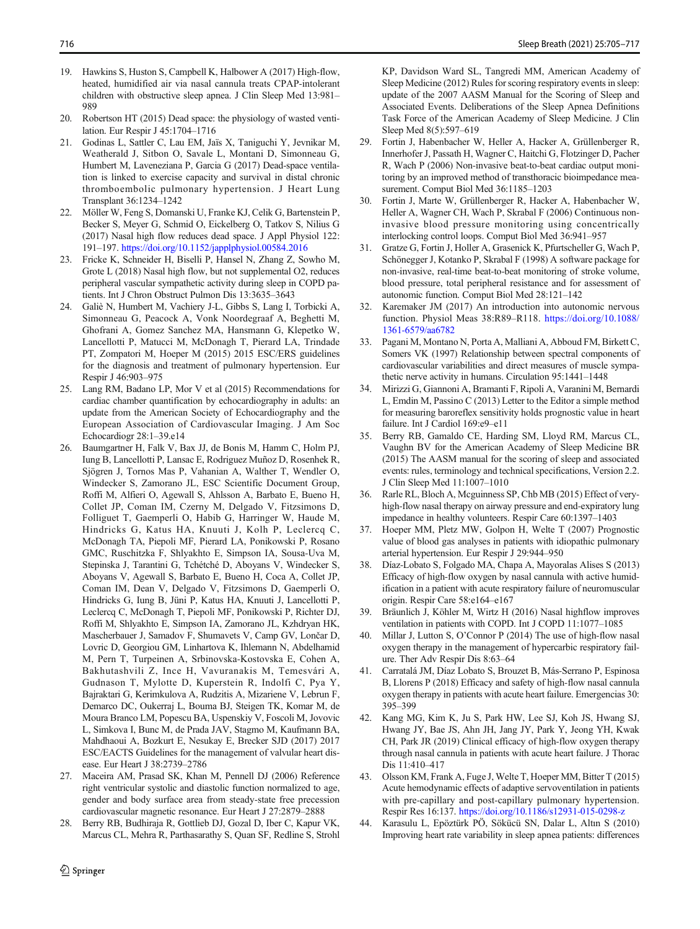- <span id="page-11-0"></span>19. Hawkins S, Huston S, Campbell K, Halbower A (2017) High-flow, heated, humidified air via nasal cannula treats CPAP-intolerant children with obstructive sleep apnea. J Clin Sleep Med 13:981– 989
- 20. Robertson HT (2015) Dead space: the physiology of wasted ventilation. Eur Respir J 45:1704–1716
- 21. Godinas L, Sattler C, Lau EM, Jaïs X, Taniguchi Y, Jevnikar M, Weatherald J, Sitbon O, Savale L, Montani D, Simonneau G, Humbert M, Laveneziana P, Garcia G (2017) Dead-space ventilation is linked to exercise capacity and survival in distal chronic thromboembolic pulmonary hypertension. J Heart Lung Transplant 36:1234–1242
- 22. Möller W, Feng S, Domanski U, Franke KJ, Celik G, Bartenstein P, Becker S, Meyer G, Schmid O, Eickelberg O, Tatkov S, Nilius G (2017) Nasal high flow reduces dead space. J Appl Physiol 122: 191–197. <https://doi.org/10.1152/japplphysiol.00584.2016>
- 23. Fricke K, Schneider H, Biselli P, Hansel N, Zhang Z, Sowho M, Grote L (2018) Nasal high flow, but not supplemental O2, reduces peripheral vascular sympathetic activity during sleep in COPD patients. Int J Chron Obstruct Pulmon Dis 13:3635–3643
- 24. Galiè N, Humbert M, Vachiery J-L, Gibbs S, Lang I, Torbicki A, Simonneau G, Peacock A, Vonk Noordegraaf A, Beghetti M, Ghofrani A, Gomez Sanchez MA, Hansmann G, Klepetko W, Lancellotti P, Matucci M, McDonagh T, Pierard LA, Trindade PT, Zompatori M, Hoeper M (2015) 2015 ESC/ERS guidelines for the diagnosis and treatment of pulmonary hypertension. Eur Respir J 46:903–975
- 25. Lang RM, Badano LP, Mor V et al (2015) Recommendations for cardiac chamber quantification by echocardiography in adults: an update from the American Society of Echocardiography and the European Association of Cardiovascular Imaging. J Am Soc Echocardiogr 28:1–39.e14
- 26. Baumgartner H, Falk V, Bax JJ, de Bonis M, Hamm C, Holm PJ, Iung B, Lancellotti P, Lansac E, Rodriguez Muñoz D, Rosenhek R, Sjögren J, Tornos Mas P, Vahanian A, Walther T, Wendler O, Windecker S, Zamorano JL, ESC Scientific Document Group, Roffi M, Alfieri O, Agewall S, Ahlsson A, Barbato E, Bueno H, Collet JP, Coman IM, Czerny M, Delgado V, Fitzsimons D, Folliguet T, Gaemperli O, Habib G, Harringer W, Haude M, Hindricks G, Katus HA, Knuuti J, Kolh P, Leclercq C, McDonagh TA, Piepoli MF, Pierard LA, Ponikowski P, Rosano GMC, Ruschitzka F, Shlyakhto E, Simpson IA, Sousa-Uva M, Stepinska J, Tarantini G, Tchétché D, Aboyans V, Windecker S, Aboyans V, Agewall S, Barbato E, Bueno H, Coca A, Collet JP, Coman IM, Dean V, Delgado V, Fitzsimons D, Gaemperli O, Hindricks G, Iung B, Jüni P, Katus HA, Knuuti J, Lancellotti P, Leclercq C, McDonagh T, Piepoli MF, Ponikowski P, Richter DJ, Roffi M, Shlyakhto E, Simpson IA, Zamorano JL, Kzhdryan HK, Mascherbauer J, Samadov F, Shumavets V, Camp GV, Lončar D, Lovric D, Georgiou GM, Linhartova K, Ihlemann N, Abdelhamid M, Pern T, Turpeinen A, Srbinovska-Kostovska E, Cohen A, Bakhutashvili Z, Ince H, Vavuranakis M, Temesvári A, Gudnason T, Mylotte D, Kuperstein R, Indolfi C, Pya Y, Bajraktari G, Kerimkulova A, Rudzitis A, Mizariene V, Lebrun F, Demarco DC, Oukerraj L, Bouma BJ, Steigen TK, Komar M, de Moura Branco LM, Popescu BA, Uspenskiy V, Foscoli M, Jovovic L, Simkova I, Bunc M, de Prada JAV, Stagmo M, Kaufmann BA, Mahdhaoui A, Bozkurt E, Nesukay E, Brecker SJD (2017) 2017 ESC/EACTS Guidelines for the management of valvular heart disease. Eur Heart J 38:2739–2786
- 27. Maceira AM, Prasad SK, Khan M, Pennell DJ (2006) Reference right ventricular systolic and diastolic function normalized to age, gender and body surface area from steady-state free precession cardiovascular magnetic resonance. Eur Heart J 27:2879–2888
- 28. Berry RB, Budhiraja R, Gottlieb DJ, Gozal D, Iber C, Kapur VK, Marcus CL, Mehra R, Parthasarathy S, Quan SF, Redline S, Strohl

KP, Davidson Ward SL, Tangredi MM, American Academy of Sleep Medicine (2012) Rules for scoring respiratory events in sleep: update of the 2007 AASM Manual for the Scoring of Sleep and Associated Events. Deliberations of the Sleep Apnea Definitions Task Force of the American Academy of Sleep Medicine. J Clin Sleep Med 8(5):597–619

- 29. Fortin J, Habenbacher W, Heller A, Hacker A, Grüllenberger R, Innerhofer J, Passath H, Wagner C, Haitchi G, Flotzinger D, Pacher R, Wach P (2006) Non-invasive beat-to-beat cardiac output monitoring by an improved method of transthoracic bioimpedance measurement. Comput Biol Med 36:1185–1203
- 30. Fortin J, Marte W, Grüllenberger R, Hacker A, Habenbacher W, Heller A, Wagner CH, Wach P, Skrabal F (2006) Continuous noninvasive blood pressure monitoring using concentrically interlocking control loops. Comput Biol Med 36:941–957
- 31. Gratze G, Fortin J, Holler A, Grasenick K, Pfurtscheller G, Wach P, Schönegger J, Kotanko P, Skrabal F (1998) A software package for non-invasive, real-time beat-to-beat monitoring of stroke volume, blood pressure, total peripheral resistance and for assessment of autonomic function. Comput Biol Med 28:121–142
- 32. Karemaker JM (2017) An introduction into autonomic nervous function. Physiol Meas 38:R89–R118. [https://doi.org/10.1088/](https://doi.org/10.1088/1361-6579/aa6782) [1361-6579/aa6782](https://doi.org/10.1088/1361-6579/aa6782)
- 33. Pagani M, Montano N, Porta A, Malliani A, Abboud FM, Birkett C, Somers VK (1997) Relationship between spectral components of cardiovascular variabilities and direct measures of muscle sympathetic nerve activity in humans. Circulation 95:1441–1448
- 34. Mirizzi G, Giannoni A, Bramanti F, Ripoli A, Varanini M, Bernardi L, Emdin M, Passino C (2013) Letter to the Editor a simple method for measuring baroreflex sensitivity holds prognostic value in heart failure. Int J Cardiol 169:e9–e11
- 35. Berry RB, Gamaldo CE, Harding SM, Lloyd RM, Marcus CL, Vaughn BV for the American Academy of Sleep Medicine BR (2015) The AASM manual for the scoring of sleep and associated events: rules, terminology and technical specifications, Version 2.2. J Clin Sleep Med 11:1007–1010
- 36. Rarle RL, Bloch A, Mcguinness SP, Chb MB (2015) Effect of veryhigh-flow nasal therapy on airway pressure and end-expiratory lung impedance in healthy volunteers. Respir Care 60:1397–1403
- 37. Hoeper MM, Pletz MW, Golpon H, Welte T (2007) Prognostic value of blood gas analyses in patients with idiopathic pulmonary arterial hypertension. Eur Respir J 29:944–950
- 38. Díaz-Lobato S, Folgado MA, Chapa A, Mayoralas Alises S (2013) Efficacy of high-flow oxygen by nasal cannula with active humidification in a patient with acute respiratory failure of neuromuscular origin. Respir Care 58:e164–e167
- 39. Bräunlich J, Köhler M, Wirtz H (2016) Nasal highflow improves ventilation in patients with COPD. Int J COPD 11:1077–1085
- 40. Millar J, Lutton S, O'Connor P (2014) The use of high-flow nasal oxygen therapy in the management of hypercarbic respiratory failure. Ther Adv Respir Dis 8:63–64
- 41. Carratalá JM, Díaz Lobato S, Brouzet B, Más-Serrano P, Espinosa B, Llorens P (2018) Efficacy and safety of high-flow nasal cannula oxygen therapy in patients with acute heart failure. Emergencias 30: 395–399
- 42. Kang MG, Kim K, Ju S, Park HW, Lee SJ, Koh JS, Hwang SJ, Hwang JY, Bae JS, Ahn JH, Jang JY, Park Y, Jeong YH, Kwak CH, Park JR (2019) Clinical efficacy of high-flow oxygen therapy through nasal cannula in patients with acute heart failure. J Thorac Dis 11:410–417
- 43. Olsson KM, Frank A, Fuge J, Welte T, Hoeper MM, Bitter T (2015) Acute hemodynamic effects of adaptive servoventilation in patients with pre-capillary and post-capillary pulmonary hypertension. Respir Res 16:137. <https://doi.org/10.1186/s12931-015-0298-z>
- 44. Karasulu L, Epöztürk PÖ, Sökücü SN, Dalar L, Altın S (2010) Improving heart rate variability in sleep apnea patients: differences